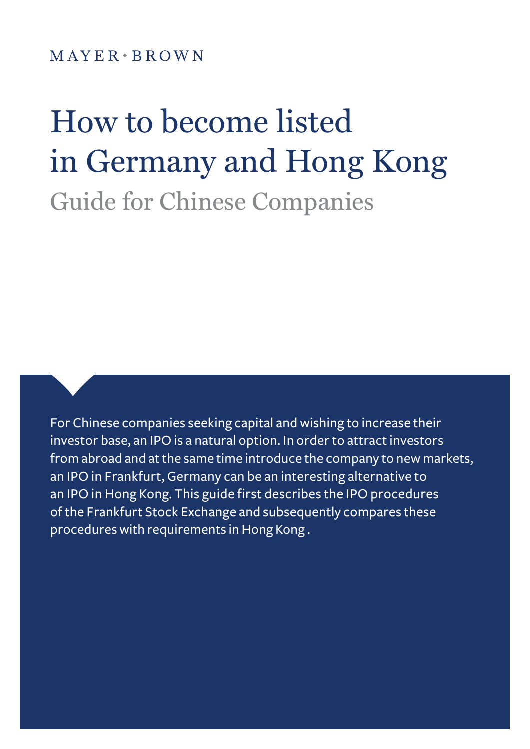$M$  A Y E R  $\cdot$  B R O W N

# How to become listed in Germany and Hong Kong Guide for Chinese Companies

For Chinese companies seeking capital and wishing to increase their investor base, an IPO is a natural option. In order to attract investors from abroad and at the same time introduce the company to new markets, an IPO in Frankfurt, Germany can be an interesting alternative to an IPO in Hong Kong. This guide first describes the IPO procedures of the Frankfurt Stock Exchange and subsequently compares these procedures with requirements in Hong Kong .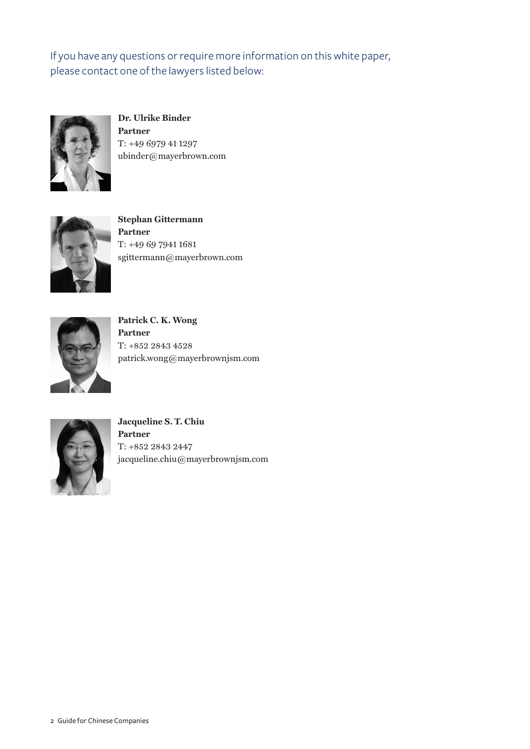If you have any questions or require more information on this white paper, please contact one of the lawyers listed below:



**Dr. Ulrike Binder Partner** T: +49 6979 41 1297 ubinder@mayerbrown.com



**Stephan Gittermann Partner** T: +49 69 7941 1681 sgittermann@mayerbrown.com



**Patrick C. K. Wong Partner** T: +852 2843 4528 patrick.wong@mayerbrownjsm.com



**Jacqueline S. T. Chiu Partner** T: +852 2843 2447 jacqueline.chiu@mayerbrownjsm.com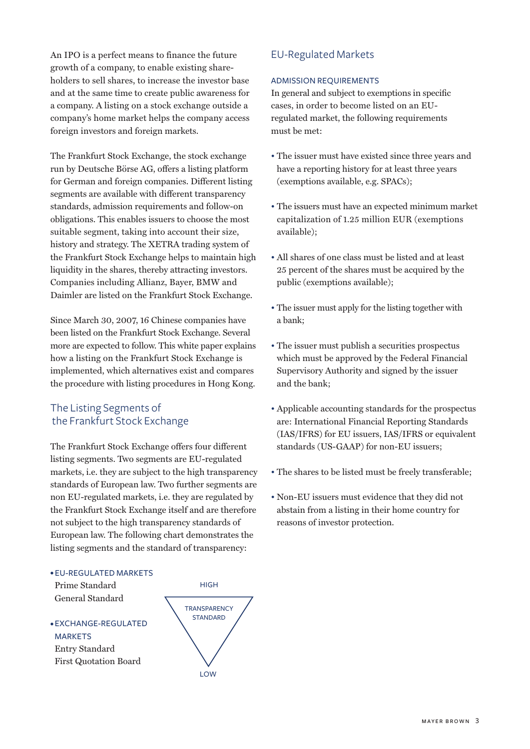An IPO is a perfect means to finance the future growth of a company, to enable existing shareholders to sell shares, to increase the investor base and at the same time to create public awareness for a company. A listing on a stock exchange outside a company's home market helps the company access foreign investors and foreign markets.

The Frankfurt Stock Exchange, the stock exchange run by Deutsche Börse AG, offers a listing platform for German and foreign companies. Different listing segments are available with different transparency standards, admission requirements and follow-on obligations. This enables issuers to choose the most suitable segment, taking into account their size, history and strategy. The XETRA trading system of the Frankfurt Stock Exchange helps to maintain high liquidity in the shares, thereby attracting investors. Companies including Allianz, Bayer, BMW and Daimler are listed on the Frankfurt Stock Exchange.

Since March 30, 2007, 16 Chinese companies have been listed on the Frankfurt Stock Exchange. Several more are expected to follow. This white paper explains how a listing on the Frankfurt Stock Exchange is implemented, which alternatives exist and compares the procedure with listing procedures in Hong Kong.

## The Listing Segments of the Frankfurt Stock Exchange

The Frankfurt Stock Exchange offers four different listing segments. Two segments are EU-regulated markets, i.e. they are subject to the high transparency standards of European law. Two further segments are non EU-regulated markets, i.e. they are regulated by the Frankfurt Stock Exchange itself and are therefore not subject to the high transparency standards of European law. The following chart demonstrates the listing segments and the standard of transparency:

## • EU-REGULATED MARKETS

Prime Standard General Standard

• EXCHANGE-REGULATED MARKETS Entry Standard First Quotation Board



# EU-Regulated Markets

#### ADMISSION REQUIREMENTS

In general and subject to exemptions in specific cases, in order to become listed on an EUregulated market, the following requirements must be met:

- The issuer must have existed since three years and have a reporting history for at least three years (exemptions available, e.g. SPACs);
- The issuers must have an expected minimum market capitalization of 1.25 million EUR (exemptions available);
- All shares of one class must be listed and at least 25 percent of the shares must be acquired by the public (exemptions available);
- The issuer must apply for the listing together with a bank;
- The issuer must publish a securities prospectus which must be approved by the Federal Financial Supervisory Authority and signed by the issuer and the bank;
- Applicable accounting standards for the prospectus are: International Financial Reporting Standards (IAS/IFRS) for EU issuers, IAS/IFRS or equivalent standards (US-GAAP) for non-EU issuers;
- The shares to be listed must be freely transferable;
- Non-EU issuers must evidence that they did not abstain from a listing in their home country for reasons of investor protection.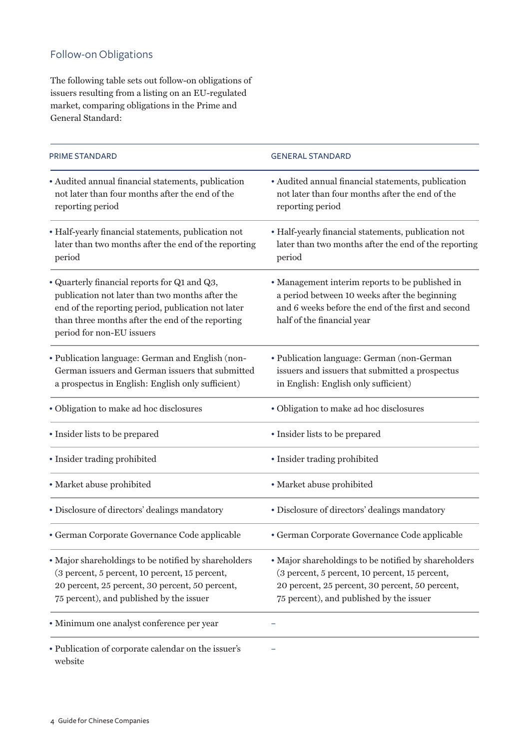# Follow-on Obligations

The following table sets out follow-on obligations of issuers resulting from a listing on an EU-regulated market, comparing obligations in the Prime and General Standard:

| <b>PRIME STANDARD</b>                                                                                                                                                                                                                  | <b>GENERAL STANDARD</b>                                                                                                                                                                               |
|----------------------------------------------------------------------------------------------------------------------------------------------------------------------------------------------------------------------------------------|-------------------------------------------------------------------------------------------------------------------------------------------------------------------------------------------------------|
| · Audited annual financial statements, publication<br>not later than four months after the end of the<br>reporting period                                                                                                              | • Audited annual financial statements, publication<br>not later than four months after the end of the<br>reporting period                                                                             |
| · Half-yearly financial statements, publication not<br>later than two months after the end of the reporting<br>period                                                                                                                  | • Half-yearly financial statements, publication not<br>later than two months after the end of the reporting<br>period                                                                                 |
| • Quarterly financial reports for Q1 and Q3,<br>publication not later than two months after the<br>end of the reporting period, publication not later<br>than three months after the end of the reporting<br>period for non-EU issuers | • Management interim reports to be published in<br>a period between 10 weeks after the beginning<br>and 6 weeks before the end of the first and second<br>half of the financial year                  |
| · Publication language: German and English (non-<br>German issuers and German issuers that submitted<br>a prospectus in English: English only sufficient)                                                                              | · Publication language: German (non-German<br>issuers and issuers that submitted a prospectus<br>in English: English only sufficient)                                                                 |
| · Obligation to make ad hoc disclosures                                                                                                                                                                                                | • Obligation to make ad hoc disclosures                                                                                                                                                               |
| • Insider lists to be prepared                                                                                                                                                                                                         | • Insider lists to be prepared                                                                                                                                                                        |
| • Insider trading prohibited                                                                                                                                                                                                           | • Insider trading prohibited                                                                                                                                                                          |
| · Market abuse prohibited                                                                                                                                                                                                              | • Market abuse prohibited                                                                                                                                                                             |
| · Disclosure of directors' dealings mandatory                                                                                                                                                                                          | · Disclosure of directors' dealings mandatory                                                                                                                                                         |
| · German Corporate Governance Code applicable                                                                                                                                                                                          | · German Corporate Governance Code applicable                                                                                                                                                         |
| • Major shareholdings to be notified by shareholders<br>(3 percent, 5 percent, 10 percent, 15 percent,<br>20 percent, 25 percent, 30 percent, 50 percent,<br>75 percent), and published by the issuer                                  | · Major shareholdings to be notified by shareholders<br>(3 percent, 5 percent, 10 percent, 15 percent,<br>20 percent, 25 percent, 30 percent, 50 percent,<br>75 percent), and published by the issuer |
| · Minimum one analyst conference per year                                                                                                                                                                                              |                                                                                                                                                                                                       |
| • Publication of corporate calendar on the issuer's                                                                                                                                                                                    |                                                                                                                                                                                                       |

website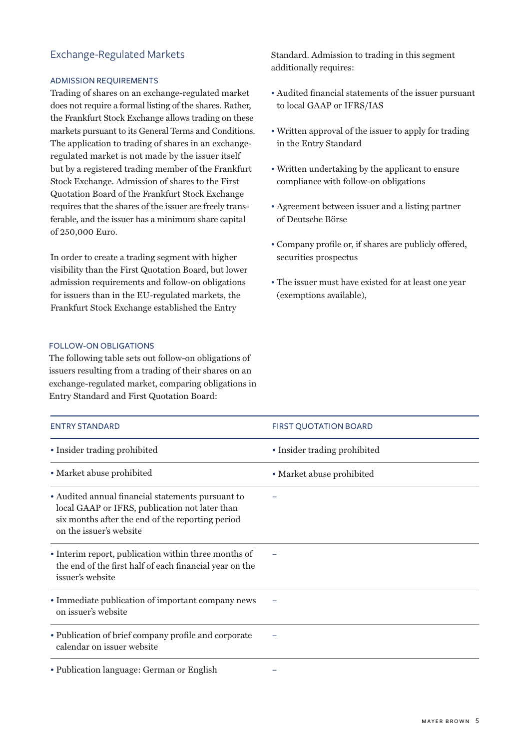## Exchange-Regulated Markets

#### ADMISSION REQUIREMENTS

Trading of shares on an exchange-regulated market does not require a formal listing of the shares. Rather, the Frankfurt Stock Exchange allows trading on these markets pursuant to its General Terms and Conditions. The application to trading of shares in an exchangeregulated market is not made by the issuer itself but by a registered trading member of the Frankfurt Stock Exchange. Admission of shares to the First Quotation Board of the Frankfurt Stock Exchange requires that the shares of the issuer are freely transferable, and the issuer has a minimum share capital of 250,000 Euro.

In order to create a trading segment with higher visibility than the First Quotation Board, but lower admission requirements and follow-on obligations for issuers than in the EU-regulated markets, the Frankfurt Stock Exchange established the Entry

## FOLLOW-ON OBLIGATIONS

The following table sets out follow-on obligations of issuers resulting from a trading of their shares on an exchange-regulated market, comparing obligations in Entry Standard and First Quotation Board:

Standard. Admission to trading in this segment additionally requires:

- Audited financial statements of the issuer pursuant to local GAAP or IFRS/IAS
- Written approval of the issuer to apply for trading in the Entry Standard
- Written undertaking by the applicant to ensure compliance with follow-on obligations
- Agreement between issuer and a listing partner of Deutsche Börse
- Company profile or, if shares are publicly offered, securities prospectus
- The issuer must have existed for at least one year (exemptions available),

| <b>ENTRY STANDARD</b>                                                                                                                                                              | <b>FIRST QUOTATION BOARD</b> |
|------------------------------------------------------------------------------------------------------------------------------------------------------------------------------------|------------------------------|
| • Insider trading prohibited                                                                                                                                                       | • Insider trading prohibited |
| • Market abuse prohibited                                                                                                                                                          | • Market abuse prohibited    |
| • Audited annual financial statements pursuant to<br>local GAAP or IFRS, publication not later than<br>six months after the end of the reporting period<br>on the issuer's website |                              |
| • Interim report, publication within three months of<br>the end of the first half of each financial year on the<br>issuer's website                                                |                              |
| • Immediate publication of important company news<br>on issuer's website                                                                                                           |                              |
| • Publication of brief company profile and corporate<br>calendar on issuer website                                                                                                 |                              |
| • Publication language: German or English                                                                                                                                          |                              |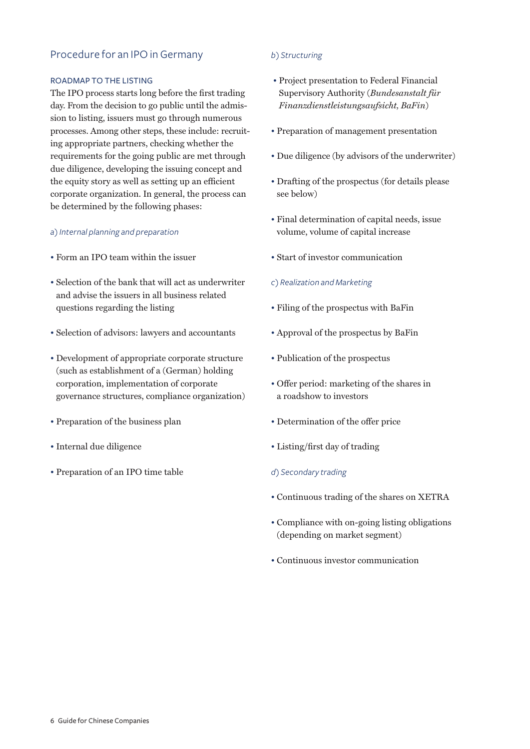## Procedure for an IPO in Germany

#### ROADMAP TO THE LISTING

The IPO process starts long before the first trading day. From the decision to go public until the admission to listing, issuers must go through numerous processes. Among other steps, these include: recruiting appropriate partners, checking whether the requirements for the going public are met through due diligence, developing the issuing concept and the equity story as well as setting up an efficient corporate organization. In general, the process can be determined by the following phases:

#### *a) Internal planning and preparation*

- Form an IPO team within the issuer
- Selection of the bank that will act as underwriter and advise the issuers in all business related questions regarding the listing
- Selection of advisors: lawyers and accountants
- Development of appropriate corporate structure (such as establishment of a (German) holding corporation, implementation of corporate governance structures, compliance organization)
- Preparation of the business plan
- Internal due diligence
- Preparation of an IPO time table

#### *b) Structuring*

- Project presentation to Federal Financial Supervisory Authority (*Bundesanstalt für Finanzdienstleistungsaufsicht, BaFin*)
- Preparation of management presentation
- Due diligence (by advisors of the underwriter)
- Drafting of the prospectus (for details please see below)
- Final determination of capital needs, issue volume, volume of capital increase
- Start of investor communication

#### *c) Realization and Marketing*

- Filing of the prospectus with BaFin
- Approval of the prospectus by BaFin
- Publication of the prospectus
- Offer period: marketing of the shares in a roadshow to investors
- Determination of the offer price
- Listing/first day of trading
- *d) Secondary trading*
- Continuous trading of the shares on XETRA
- Compliance with on-going listing obligations (depending on market segment)
- Continuous investor communication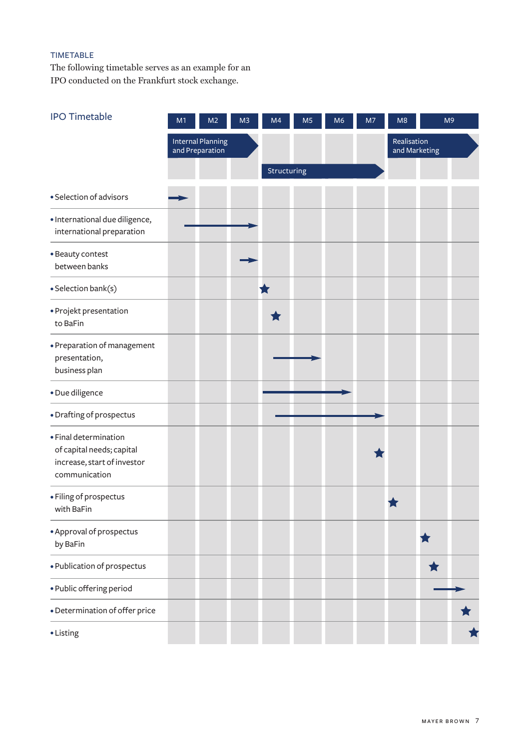# TIMETABLE

The following timetable serves as an example for an IPO conducted on the Frankfurt stock exchange.

| <b>IPO Timetable</b>                                                                               | M1 | M <sub>2</sub>                              | M <sub>3</sub> | M4          | M <sub>5</sub> | M <sub>6</sub> | M7 | M8                           |   | M <sub>9</sub> |
|----------------------------------------------------------------------------------------------------|----|---------------------------------------------|----------------|-------------|----------------|----------------|----|------------------------------|---|----------------|
|                                                                                                    |    | <b>Internal Planning</b><br>and Preparation |                |             |                |                |    | Realisation<br>and Marketing |   |                |
|                                                                                                    |    |                                             |                | Structuring |                |                |    |                              |   |                |
| · Selection of advisors                                                                            |    |                                             |                |             |                |                |    |                              |   |                |
| · International due diligence,<br>international preparation                                        |    |                                             |                |             |                |                |    |                              |   |                |
| • Beauty contest<br>between banks                                                                  |    |                                             |                |             |                |                |    |                              |   |                |
| · Selection bank(s)                                                                                |    |                                             |                |             |                |                |    |                              |   |                |
| • Projekt presentation<br>to BaFin                                                                 |    |                                             |                |             |                |                |    |                              |   |                |
| · Preparation of management<br>presentation,<br>business plan                                      |    |                                             |                |             |                |                |    |                              |   |                |
| · Due diligence                                                                                    |    |                                             |                |             |                |                |    |                              |   |                |
| · Drafting of prospectus                                                                           |    |                                             |                |             |                |                |    |                              |   |                |
| · Final determination<br>of capital needs; capital<br>increase, start of investor<br>communication |    |                                             |                |             |                |                |    |                              |   |                |
| · Filing of prospectus<br>with BaFin                                                               |    |                                             |                |             |                |                |    |                              |   |                |
| • Approval of prospectus<br>by BaFin                                                               |    |                                             |                |             |                |                |    |                              | ★ |                |
| · Publication of prospectus                                                                        |    |                                             |                |             |                |                |    |                              | ★ |                |
| · Public offering period                                                                           |    |                                             |                |             |                |                |    |                              |   |                |
| · Determination of offer price                                                                     |    |                                             |                |             |                |                |    |                              |   |                |
| • Listing                                                                                          |    |                                             |                |             |                |                |    |                              |   |                |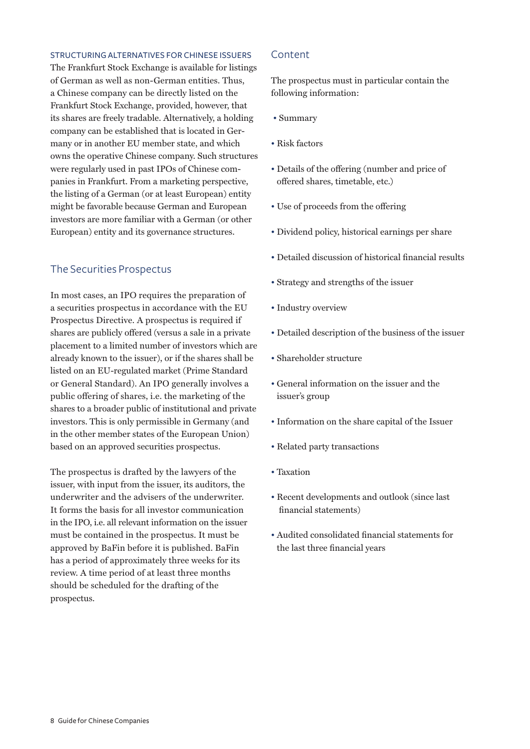#### STRUCTURING ALTERNATIVES FOR CHINESE ISSUERS

The Frankfurt Stock Exchange is available for listings of German as well as non-German entities. Thus, a Chinese company can be directly listed on the Frankfurt Stock Exchange, provided, however, that its shares are freely tradable. Alternatively, a holding company can be established that is located in Germany or in another EU member state, and which owns the operative Chinese company. Such structures were regularly used in past IPOs of Chinese companies in Frankfurt. From a marketing perspective, the listing of a German (or at least European) entity might be favorable because German and European investors are more familiar with a German (or other European) entity and its governance structures.

## The Securities Prospectus

In most cases, an IPO requires the preparation of a securities prospectus in accordance with the EU Prospectus Directive. A prospectus is required if shares are publicly offered (versus a sale in a private placement to a limited number of investors which are already known to the issuer), or if the shares shall be listed on an EU-regulated market (Prime Standard or General Standard). An IPO generally involves a public offering of shares, i.e. the marketing of the shares to a broader public of institutional and private investors. This is only permissible in Germany (and in the other member states of the European Union) based on an approved securities prospectus.

The prospectus is drafted by the lawyers of the issuer, with input from the issuer, its auditors, the underwriter and the advisers of the underwriter. It forms the basis for all investor communication in the IPO, i.e. all relevant information on the issuer must be contained in the prospectus. It must be approved by BaFin before it is published. BaFin has a period of approximately three weeks for its review. A time period of at least three months should be scheduled for the drafting of the prospectus.

#### Content

The prospectus must in particular contain the following information:

- Summary
- Risk factors
- Details of the offering (number and price of offered shares, timetable, etc.)
- Use of proceeds from the offering
- Dividend policy, historical earnings per share
- Detailed discussion of historical financial results
- Strategy and strengths of the issuer
- Industry overview
- Detailed description of the business of the issuer
- Shareholder structure
- General information on the issuer and the issuer's group
- Information on the share capital of the Issuer
- Related party transactions
- Taxation
- Recent developments and outlook (since last financial statements)
- Audited consolidated financial statements for the last three financial years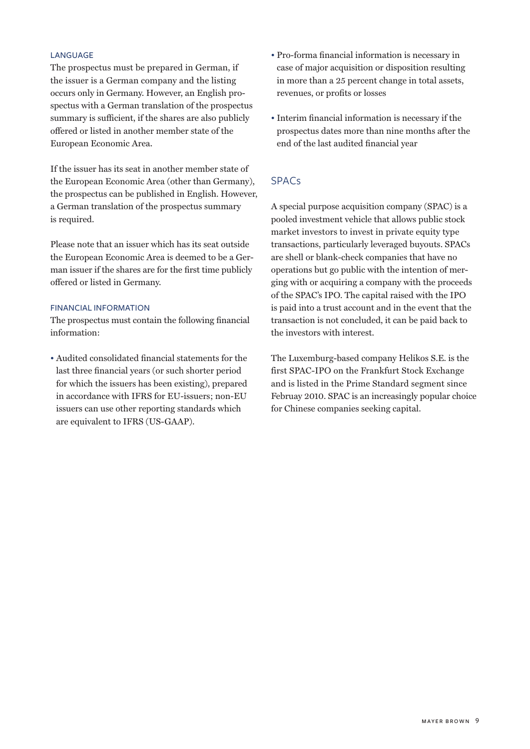#### LANGUAGE

The prospectus must be prepared in German, if the issuer is a German company and the listing occurs only in Germany. However, an English prospectus with a German translation of the prospectus summary is sufficient, if the shares are also publicly offered or listed in another member state of the European Economic Area.

If the issuer has its seat in another member state of the European Economic Area (other than Germany), the prospectus can be published in English. However, a German translation of the prospectus summary is required.

Please note that an issuer which has its seat outside the European Economic Area is deemed to be a German issuer if the shares are for the first time publicly offered or listed in Germany.

## FINANCIAL INFORMATION

The prospectus must contain the following financial information:

• Audited consolidated financial statements for the last three financial years (or such shorter period for which the issuers has been existing), prepared in accordance with IFRS for EU-issuers; non-EU issuers can use other reporting standards which are equivalent to IFRS (US-GAAP).

- Pro-forma financial information is necessary in case of major acquisition or disposition resulting in more than a 25 percent change in total assets, revenues, or profits or losses
- Interim financial information is necessary if the prospectus dates more than nine months after the end of the last audited financial year

## SPACs

A special purpose acquisition company (SPAC) is a pooled investment vehicle that allows public stock market investors to invest in private equity type transactions, particularly leveraged buyouts. SPACs are shell or blank-check companies that have no operations but go public with the intention of merging with or acquiring a company with the proceeds of the SPAC's IPO. The capital raised with the IPO is paid into a trust account and in the event that the transaction is not concluded, it can be paid back to the investors with interest.

The Luxemburg-based company Helikos S.E. is the first SPAC-IPO on the Frankfurt Stock Exchange and is listed in the Prime Standard segment since Februay 2010. SPAC is an increasingly popular choice for Chinese companies seeking capital.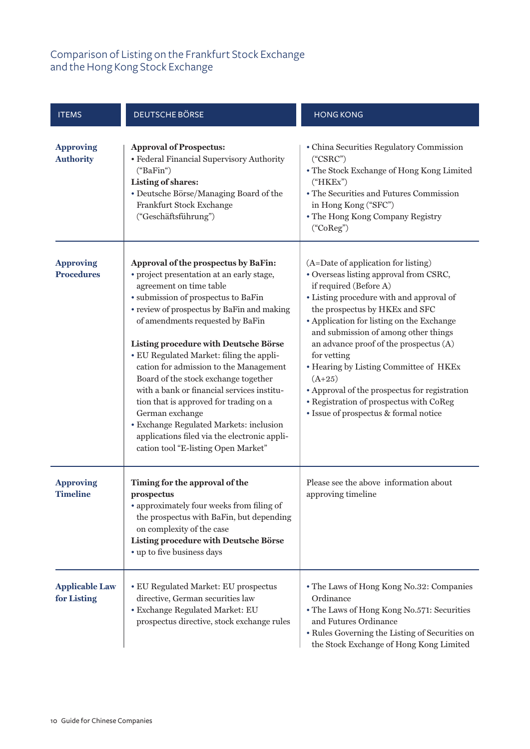# Comparison of Listing on the Frankfurt Stock Exchange and the Hong Kong Stock Exchange

| <b>ITEMS</b>                          | <b>DEUTSCHE BÖRSE</b>                                                                                                                                                                                                                                                                                                                                                                                                                                                                                                                                                                                                                                     | <b>HONG KONG</b>                                                                                                                                                                                                                                                                                                                                                                                                                                                                                                               |
|---------------------------------------|-----------------------------------------------------------------------------------------------------------------------------------------------------------------------------------------------------------------------------------------------------------------------------------------------------------------------------------------------------------------------------------------------------------------------------------------------------------------------------------------------------------------------------------------------------------------------------------------------------------------------------------------------------------|--------------------------------------------------------------------------------------------------------------------------------------------------------------------------------------------------------------------------------------------------------------------------------------------------------------------------------------------------------------------------------------------------------------------------------------------------------------------------------------------------------------------------------|
| <b>Approving</b><br><b>Authority</b>  | <b>Approval of Prospectus:</b><br>• Federal Financial Supervisory Authority<br>("BaFin")<br><b>Listing of shares:</b><br>• Deutsche Börse/Managing Board of the<br>Frankfurt Stock Exchange<br>("Geschäftsführung")                                                                                                                                                                                                                                                                                                                                                                                                                                       | • China Securities Regulatory Commission<br>("CSRC")<br>• The Stock Exchange of Hong Kong Limited<br>("HKEx")<br>• The Securities and Futures Commission<br>in Hong Kong ("SFC")<br>• The Hong Kong Company Registry<br>("CoReg")                                                                                                                                                                                                                                                                                              |
| <b>Approving</b><br><b>Procedures</b> | Approval of the prospectus by BaFin:<br>• project presentation at an early stage,<br>agreement on time table<br>· submission of prospectus to BaFin<br>• review of prospectus by BaFin and making<br>of amendments requested by BaFin<br>Listing procedure with Deutsche Börse<br>• EU Regulated Market: filing the appli-<br>cation for admission to the Management<br>Board of the stock exchange together<br>with a bank or financial services institu-<br>tion that is approved for trading on a<br>German exchange<br>· Exchange Regulated Markets: inclusion<br>applications filed via the electronic appli-<br>cation tool "E-listing Open Market" | (A=Date of application for listing)<br>• Overseas listing approval from CSRC,<br>if required (Before A)<br>• Listing procedure with and approval of<br>the prospectus by HKEx and SFC<br>• Application for listing on the Exchange<br>and submission of among other things<br>an advance proof of the prospectus (A)<br>for vetting<br>• Hearing by Listing Committee of HKEx<br>$(A+25)$<br>• Approval of the prospectus for registration<br>• Registration of prospectus with CoReg<br>· Issue of prospectus & formal notice |
| <b>Approving</b><br><b>Timeline</b>   | Timing for the approval of the<br>prospectus<br>• approximately four weeks from filing of<br>the prospectus with BaFin, but depending<br>on complexity of the case<br>Listing procedure with Deutsche Börse<br>• up to five business days                                                                                                                                                                                                                                                                                                                                                                                                                 | Please see the above information about<br>approving timeline                                                                                                                                                                                                                                                                                                                                                                                                                                                                   |
| <b>Applicable Law</b><br>for Listing  | • EU Regulated Market: EU prospectus<br>directive, German securities law<br>· Exchange Regulated Market: EU<br>prospectus directive, stock exchange rules                                                                                                                                                                                                                                                                                                                                                                                                                                                                                                 | • The Laws of Hong Kong No.32: Companies<br>Ordinance<br>• The Laws of Hong Kong No.571: Securities<br>and Futures Ordinance<br>• Rules Governing the Listing of Securities on<br>the Stock Exchange of Hong Kong Limited                                                                                                                                                                                                                                                                                                      |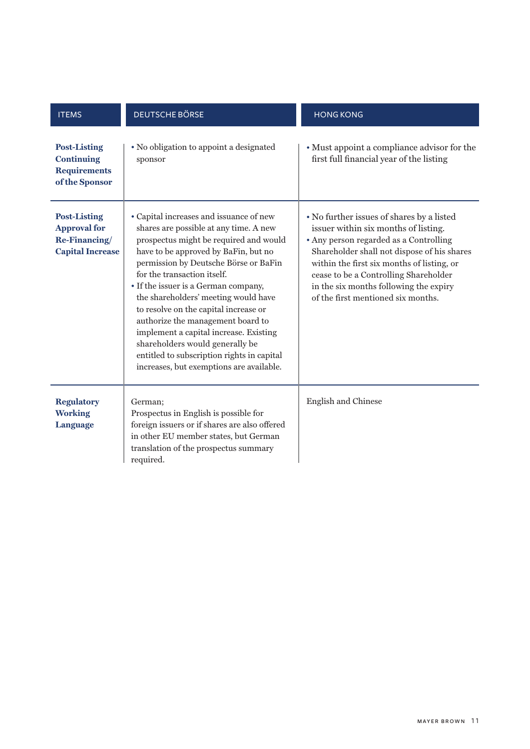| <b>ITEMS</b>                                                                           | <b>DEUTSCHE BÖRSE</b>                                                                                                                                                                                                                                                                                                                                                                                                                                                                                                                                                            | <b>HONG KONG</b>                                                                                                                                                                                                                                                                                                                                  |
|----------------------------------------------------------------------------------------|----------------------------------------------------------------------------------------------------------------------------------------------------------------------------------------------------------------------------------------------------------------------------------------------------------------------------------------------------------------------------------------------------------------------------------------------------------------------------------------------------------------------------------------------------------------------------------|---------------------------------------------------------------------------------------------------------------------------------------------------------------------------------------------------------------------------------------------------------------------------------------------------------------------------------------------------|
| <b>Post-Listing</b><br><b>Continuing</b><br><b>Requirements</b><br>of the Sponsor      | • No obligation to appoint a designated<br>sponsor                                                                                                                                                                                                                                                                                                                                                                                                                                                                                                                               | • Must appoint a compliance advisor for the<br>first full financial year of the listing                                                                                                                                                                                                                                                           |
| <b>Post-Listing</b><br><b>Approval for</b><br>Re-Financing/<br><b>Capital Increase</b> | • Capital increases and issuance of new<br>shares are possible at any time. A new<br>prospectus might be required and would<br>have to be approved by BaFin, but no<br>permission by Deutsche Börse or BaFin<br>for the transaction itself.<br>• If the issuer is a German company,<br>the shareholders' meeting would have<br>to resolve on the capital increase or<br>authorize the management board to<br>implement a capital increase. Existing<br>shareholders would generally be<br>entitled to subscription rights in capital<br>increases, but exemptions are available. | • No further issues of shares by a listed<br>issuer within six months of listing.<br>• Any person regarded as a Controlling<br>Shareholder shall not dispose of his shares<br>within the first six months of listing, or<br>cease to be a Controlling Shareholder<br>in the six months following the expiry<br>of the first mentioned six months. |
| <b>Regulatory</b><br><b>Working</b><br>Language                                        | German;<br>Prospectus in English is possible for<br>foreign issuers or if shares are also offered<br>in other EU member states, but German<br>translation of the prospectus summary<br>required.                                                                                                                                                                                                                                                                                                                                                                                 | English and Chinese                                                                                                                                                                                                                                                                                                                               |